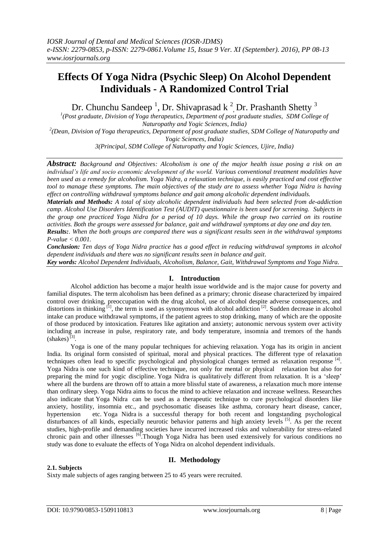# **Effects Of Yoga Nidra (Psychic Sleep) On Alcohol Dependent Individuals - A Randomized Control Trial**

Dr. Chunchu Sandeep<sup>1</sup>, Dr. Shivaprasad k<sup>2</sup>, Dr. Prashanth Shetty<sup>3</sup>

*1 (Post graduate, Division of Yoga therapeutics, Department of post graduate studies, SDM College of Naturopathy and Yogic Sciences, India)*

*2 (Dean, Division of Yoga therapeutics, Department of post graduate studies, SDM College of Naturopathy and Yogic Sciences, India)* 

*3(Principal, SDM College of Naturopathy and Yogic Sciences, Ujire, India)*

*Abstract: Background and Objectives: Alcoholism is one of the major health issue posing a risk on an individual's life and socio economic development of the world. Various conventional treatment modalities have been used as a remedy for alcoholism. Yoga Nidra, a relaxation technique, is easily practiced and cost effective tool to manage these symptoms. The main objectives of the study are to assess whether Yoga Nidra is having effect on controlling withdrawal symptoms balance and gait among alcoholic dependent individuals.*

*Materials and Methods: A total of sixty alcoholic dependent individuals had been selected from de-addiction camp. Alcohol Use Disorders Identification Test (AUDIT) questionnaire is been used for screening. Subjects in the group one practiced Yoga Nidra for a period of 10 days. While the group two carried on its routine activities. Both the groups were assessed for balance, gait and withdrawal symptoms at day one and day ten.*

*Results:. When the both groups are compared there was a significant results seen in the withdrawal symptoms P-value < 0.001.*

*Conclusion: Ten days of Yoga Nidra practice has a good effect in reducing withdrawal symptoms in alcohol dependent individuals and there was no significant results seen in balance and gait.*

*Key words: Alcohol Dependent Individuals, Alcoholism, Balance, Gait, Withdrawal Symptoms and Yoga Nidra.*

#### **I. Introduction**

Alcohol addiction has become a major health issue worldwide and is the major cause for poverty and familial disputes. The term alcoholism has been defined as a primary; chronic disease characterized by impaired control over drinking, preoccupation with the drug alcohol, use of alcohol despite adverse consequences, and distortions in thinking  $^{[1]}$ , the term is used as synonymous with alcohol addiction  $^{[2]}$ . Sudden decrease in alcohol intake can produce withdrawal symptoms, if the patient agrees to stop drinking, many of which are the opposite of those produced by intoxication. Features like agitation and anxiety; autonomic nervous system over activity including an increase in pulse, respiratory rate, and body temperature, insomnia and tremors of the hands  $(shakes)^{[3]}$ .

Yoga is one of the many popular techniques for achieving relaxation. Yoga has its origin in ancient India. Its original form consisted of spiritual, moral and physical practices. The different type of relaxation techniques often lead to specific psychological and physiological changes termed as relaxation response [4]. Yoga Nidra is one such kind of effective technique, not only for mental or physical relaxation but also for preparing the mind for yogic discipline. Yoga Nidra is qualitatively different from relaxation. It is a 'sleep' where all the burdens are thrown off to attain a more blissful state of awareness, a relaxation much more intense than ordinary sleep. Yoga Nidra aims to focus the mind to achieve relaxation and increase wellness. Researches also indicate that Yoga Nidra can be used as a therapeutic technique to cure psychological disorders like anxiety, hostility, insomnia etc., and psychosomatic diseases like asthma, coronary heart disease, cancer, hypertension etc. Yoga Nidra is a successful therapy for both recent and longstanding psychological disturbances of all kinds, especially neurotic behavior patterns and high anxiety levels <sup>[5]</sup>. As per the recent studies, high-profile and demanding societies have incurred increased risks and vulnerability for stress-related chronic pain and other illnesses <sup>[6]</sup>. Though Yoga Nidra has been used extensively for various conditions no study was done to evaluate the effects of Yoga Nidra on alcohol dependent individuals.

#### **II. Methodology**

#### **2.1. Subjects**

Sixty male subjects of ages ranging between 25 to 45 years were recruited.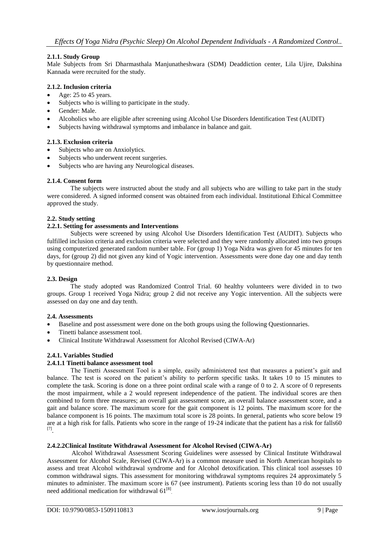## **2.1.1. Study Group**

Male Subjects from Sri Dharmasthala Manjunatheshwara (SDM) Deaddiction center, Lila Ujire, Dakshina Kannada were recruited for the study.

## **2.1.2. Inclusion criteria**

- Age: 25 to 45 years.
- Subjects who is willing to participate in the study.
- Gender: Male.
- Alcoholics who are eligible after screening using Alcohol Use Disorders Identification Test (AUDIT)
- Subjects having withdrawal symptoms and imbalance in balance and gait.

## **2.1.3. Exclusion criteria**

- Subjects who are on Anxiolytics.
- Subjects who underwent recent surgeries.
- Subjects who are having any Neurological diseases.

## **2.1.4. Consent form**

The subjects were instructed about the study and all subjects who are willing to take part in the study were considered. A signed informed consent was obtained from each individual. Institutional Ethical Committee approved the study.

#### **2.2. Study setting**

#### **2.2.1. Setting for assessments and Interventions**

Subjects were screened by using Alcohol Use Disorders Identification Test (AUDIT). Subjects who fulfilled inclusion criteria and exclusion criteria were selected and they were randomly allocated into two groups using computerized generated random number table. For (group 1) Yoga Nidra was given for 45 minutes for ten days, for (group 2) did not given any kind of Yogic intervention. Assessments were done day one and day tenth by questionnaire method.

## **2.3. Design**

The study adopted was Randomized Control Trial. 60 healthy volunteers were divided in to two groups. Group 1 received Yoga Nidra; group 2 did not receive any Yogic intervention. All the subjects were assessed on day one and day tenth.

#### **2.4. Assessments**

- Baseline and post assessment were done on the both groups using the following Questionnaries.
- Tinetti balance assessment tool.
- Clinical Institute Withdrawal Assessment for Alcohol Revised (CIWA-Ar)

# **2.4.1. Variables Studied**

#### **2.4.1.1 Tinetti balance assessment tool**

The Tinetti Assessment Tool is a simple, easily administered test that measures a patient's gait and balance. The test is scored on the patient's ability to perform specific tasks. It takes 10 to 15 minutes to complete the task. Scoring is done on a three point ordinal scale with a range of 0 to 2. A score of 0 represents the most impairment, while a 2 would represent independence of the patient. The individual scores are then combined to form three measures; an overall gait assessment score, an overall balance assessment score, and a gait and balance score. The maximum score for the gait component is 12 points. The maximum score for the balance component is 16 points. The maximum total score is 28 points. In general, patients who score below 19 are at a high risk for falls. Patients who score in the range of 19-24 indicate that the patient has a risk for falls60 [7] .

#### **2.4.2.2Clinical Institute Withdrawal Assessment for Alcohol Revised (CIWA-Ar)**

Alcohol Withdrawal Assessment Scoring Guidelines were assessed by Clinical Institute Withdrawal Assessment for Alcohol Scale, Revised (CIWA-Ar) is a common measure used in North American hospitals to assess and treat Alcohol withdrawal syndrome and for Alcohol detoxification. This clinical tool assesses 10 common withdrawal signs. This assessment for monitoring withdrawal symptoms requires 24 approximately 5 minutes to administer. The maximum score is 67 (see instrument). Patients scoring less than 10 do not usually need additional medication for withdrawal  $61^{[8]}$ .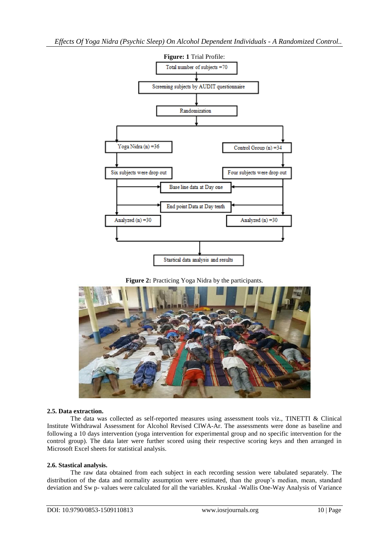

#### **Figure 2:** Practicing Yoga Nidra by the participants.



#### **2.5. Data extraction.**

The data was collected as self-reported measures using assessment tools viz., TINETTI & Clinical Institute Withdrawal Assessment for Alcohol Revised CIWA-Ar. The assessments were done as baseline and following a 10 days intervention (yoga intervention for experimental group and no specific intervention for the control group). The data later were further scored using their respective scoring keys and then arranged in Microsoft Excel sheets for statistical analysis.

#### **2.6. Stastical analysis.**

The raw data obtained from each subject in each recording session were tabulated separately. The distribution of the data and normality assumption were estimated, than the group's median, mean, standard deviation and Sw p- values were calculated for all the variables. Kruskal -Wallis One-Way Analysis of Variance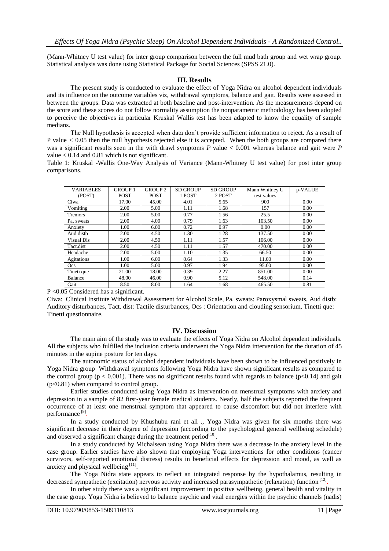(Mann-Whitney U test value) for inter group comparison between the full mud bath group and wet wrap group. Statistical analysis was done using Statistical Package for Social Sciences (SPSS 21.0).

#### **III. Results**

The present study is conducted to evaluate the effect of Yoga Nidra on alcohol dependent individuals and its influence on the outcome variables viz, withdrawal symptoms, balance and gait. Results were assessed in between the groups. Data was extracted at both baseline and post-intervention. As the measurements depend on the score and these scores do not follow normality assumption the nonparametric methodology has been adopted to perceive the objectives in particular Kruskal Wallis test has been adapted to know the equality of sample medians.

The Null hypothesis is accepted when data don't provide sufficient information to reject. As a result of P value *<* 0.05 then the null hypothesis rejected else it is accepted. When the both groups are compared there was a significant results seen in the with drawl symptoms *P* value < 0.001 whereas balance and gait were *P*  value  $< 0.14$  and 0.81 which is not significant.

Table 1: Kruskal -Wallis One-Way Analysis of Variance (Mann-Whitney U test value) for post inter group comparisons.

| <b>VARIABLES</b> | <b>GROUP 1</b> | <b>GROUP 2</b> | <b>SD GROUP</b> | <b>SD GROUP</b> | Mann Whitney U | p-VALUE |
|------------------|----------------|----------------|-----------------|-----------------|----------------|---------|
| (POST)           | <b>POST</b>    | <b>POST</b>    | 1 POST          | 2 POST          | test values    |         |
| Ciwa             | 17.00          | 45.00          | 4.01            | 5.65            | 900            | 0.00    |
| Vomiting         | 2.00           | 5.00           | 1.11            | 1.68            | 157            | 0.00    |
| Tremors          | 2.00           | 5.00           | 0.77            | 1.56            | 25.5           | 0.00    |
| Pa. sweats       | 2.00           | 4.00           | 0.79            | 1.63            | 103.50         | 0.00    |
| Anxiety          | 1.00           | 6.00           | 0.72            | 0.97            | 0.00           | 0.00    |
| Aud distb        | 2.00           | 4.50           | 1.30            | 1.28            | 137.50         | 0.00    |
| Visual Dis       | 2.00           | 4.50           | 1.11            | 1.57            | 106.00         | 0.00    |
| Tact.dist        | 2.00           | 4.50           | 1.11            | 1.57            | 470.00         | 0.00    |
| Headache         | 2.00           | 5.00           | 1.10            | 1.35            | 66.50          | 0.00    |
| Agitations       | 1.00           | 6.00           | 0.64            | 1.33            | 11.00          | 0.00    |
| Ocs              | 1.00           | 5.00           | 0.97            | 1.94            | 95.00          | 0.00    |
| Tineti que       | 21.00          | 18.00          | 0.39            | 2.27            | 851.00         | 0.00    |
| Balance          | 48.00          | 46.00          | 0.90            | 5.12            | 548.00         | 0.14    |
| Gait             | 8.50           | 8.00           | 1.64            | 1.68            | 465.50         | 0.81    |

P <0.05 Considered has a significant.

Ciwa: Clinical Institute Withdrawal Assessment for Alcohol Scale, Pa. sweats: Paroxysmal sweats, Aud distb: Auditory disturbances, Tact. dist: Tactile disturbances, Ocs : Orientation and clouding sensorium, Tinetti que: Tinetti questionnaire.

#### **IV. Discussion**

The main aim of the study was to evaluate the effects of Yoga Nidra on Alcohol dependent individuals. All the subjects who fulfilled the inclusion criteria underwent the Yoga Nidra intervention for the duration of 45 minutes in the supine posture for ten days.

The autonomic status of alcohol dependent individuals have been shown to be influenced positively in Yoga Nidra group Withdrawal symptoms following Yoga Nidra have shown significant results as compared to the control group ( $p < 0.001$ ). There was no significant results found with regards to balance ( $p < 0.14$ ) and gait (p<0.81) when compared to control group.

Earlier studies conducted using Yoga Nidra as intervention on menstrual symptoms with anxiety and depression in a sample of 82 first-year female medical students. Nearly, half the subjects reported the frequent occurrence of at least one menstrual symptom that appeared to cause discomfort but did not interfere with performance<sup>[9]</sup>.

In a study conducted by Khushubu rani et all ., Yoga Nidra was given for six months there was significant decrease in their degree of depression (according to the psychological general wellbeing schedule) and observed a significant change during the treatment period $^{[10]}$ .

In a study conducted by Michalsean using Yoga Nidra there was a decrease in the anxiety level in the case group. Earlier studies have also shown that employing Yoga interventions for other conditions (cancer survivors, self-reported emotional distress) results in beneficial effects for depression and mood, as well as anxiety and physical wellbeing<sup>[11]</sup>.

The Yoga Nidra state appears to reflect an integrated response by the hypothalamus, resulting in decreased sympathetic (excitation) nervous activity and increased parasympathetic (relaxation) function [12].

In other study there was a significant improvement in positive wellbeing, general health and vitality in the case group*.* Yoga Nidra is believed to balance psychic and vital energies within the psychic channels (nadis)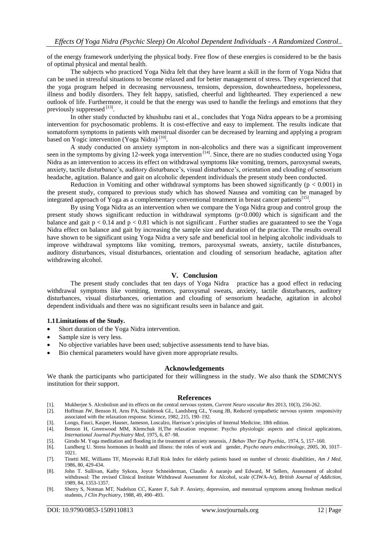of the energy framework underlying the physical body. Free flow of these energies is considered to be the basis of optimal physical and mental health.

The subjects who practiced Yoga Nidra felt that they have learnt a skill in the form of Yoga Nidra that can be used in stressful situations to become relaxed and for better management of stress. They experienced that the yoga program helped in decreasing nervousness, tensions, depression, downheartedness, hopelessness, illness and bodily disorders. They felt happy, satisfied, cheerful and lighthearted. They experienced a new outlook of life. Furthermore, it could be that the energy was used to handle the feelings and emotions that they previously suppressed [13].

In other study conducted by khushubu rani et al., concludes that Yoga Nidra appears to be a promising intervention for psychosomatic problems. It is cost-effective and easy to implement. The results indicate that somatoform symptoms in patients with menstrual disorder can be decreased by learning and applying a program based on Yogic intervention (Yoga Nidra)<sup>[10]</sup>.

A study conducted on anxiety symptom in non-alcoholics and there was a significant improvement seen in the symptoms by giving 12-week yoga intervention<sup>[14]</sup>. Since, there are no studies conducted using Yoga Nidra as an intervention to access its effect on withdrawal symptoms like vomiting, tremors, paroxysmal sweats, anxiety, tactile disturbance's, auditory disturbance's, visual disturbance's, orientation and clouding of sensorium headache, agitation. Balance and gait on alcoholic dependent individuals the present study been conducted.

Reduction in Vomiting and other withdrawal symptoms has been showed significantly ( $p < 0.001$ ) in the present study, compared to previous study which has showed Nausea and vomiting can be managed by integrated approach of Yoga as a complementary conventional treatment in breast cancer patients<sup>[15]</sup>.

By using Yoga Nidra as an intervention when we compare the Yoga Nidra group and control group the present study shows significant reduction in withdrawal symptoms (p<0.000*)* which is significant and the balance and gait  $p < 0.14$  and  $p < 0.81$  which is not significant. Further studies are guaranteed to see the Yoga Nidra effect on balance and gait by increasing the sample size and duration of the practice. The results overall have shown to be significant using Yoga Nidra a very safe and beneficial tool in helping alcoholic individuals to improve withdrawal symptoms like vomiting, tremors, paroxysmal sweats, anxiety, tactile disturbances, auditory disturbances, visual disturbances, orientation and clouding of sensorium headache, agitation after withdrawing alcohol.

#### **V. Conclusion**

The present study concludes that ten days of Yoga Nidra practice has a good effect in reducing withdrawal symptoms like vomiting, tremors, paroxysmal sweats, anxiety, tactile disturbances, auditory disturbances, visual disturbances, orientation and clouding of sensorium headache, agitation in alcohol dependent individuals and there was no significant results seen in balance and gait.

#### **1.1Limitations of the Study.**

- Short duration of the Yoga Nidra intervention.
- Sample size is very less.
- No objective variables have been used; subjective assessments tend to have bias.
- Bio chemical parameters would have given more appropriate results.

#### **Acknowledgements**

We thank the participants who participated for their willingness in the study. We also thank the SDMCNYS institution for their support.

#### **References**

- 
- [1]. Mukherjee S. Alcoholism and its effects on the central nervous system, *Current Neuro vascular Res* 2013, 10(3), 256-262. Hoffman JW, Benson H, Arns PA, Stainbrook GL, Landsberg GL, Young JB, Reduced sympathetic nervous system responsivity associated with the relaxation response. Science, 1982, 215, 190–192.
- [3]. Longo, Fauci, Kasper, Hauser, Jameson, Loscalzo, Harrison's principles of Internal Medicine, 18th edition.
- [4]. Benson H, Greenwood MM, Klemchuk H,The relaxation response: Psycho physiologic aspects and clinical applications, *International Journal Psychiatry Med*, 1975, 6, 87–98.
- [5]. Girodo M. Yoga meditation and flooding in the treatment of anxiety neurosis, *J Behav Ther Exp Psychia,*. 1974, 5, 157–160.
- [6]. Lundberg U. Stress hormones in health and illness: the roles of work and gender, *Psycho neuro endocrinology*, 2005, 30, 1017– 1021.
- [7]. Tinetti ME, Williams TF, Mayewski R.Fall Risk Index for elderly patients based on number of chronic disabilities*, Am J Med*, 1986, 80, 429-434.
- [8]. John T. Sullivan, Kathy Sykora, Joyce Schneiderman, Claudio A naranjo and Edward, M Sellers, Assessment of alcohol withdrawal: The revised Clinical Institute Withdrawal Assessment for Alcohol, scale (CIWA-Ar), *British Journal of Addiction*, 1989, 84, 1353-1357.
- [9]. Sherry S, Notman MT, Nadelson CC, Kanter F, Salt P. Anxiety, depression, and menstrual symptoms among freshman medical students, *J Clin Psychiatry*, 1988, 49, 490–493.